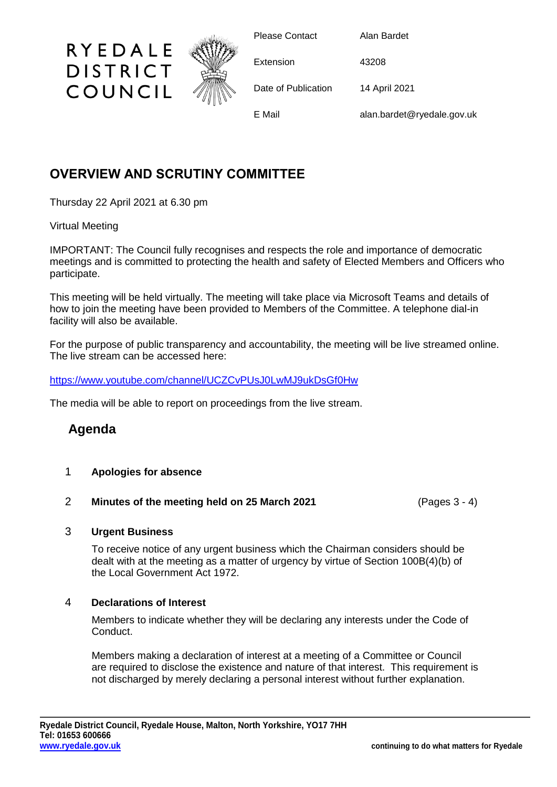

## **OVERVIEW AND SCRUTINY COMMITTEE**

Thursday 22 April 2021 at 6.30 pm

### Virtual Meeting

IMPORTANT: The Council fully recognises and respects the role and importance of democratic meetings and is committed to protecting the health and safety of Elected Members and Officers who participate.

This meeting will be held virtually. The meeting will take place via Microsoft Teams and details of how to join the meeting have been provided to Members of the Committee. A telephone dial-in facility will also be available.

For the purpose of public transparency and accountability, the meeting will be live streamed online. The live stream can be accessed here:

<https://www.youtube.com/channel/UCZCvPUsJ0LwMJ9ukDsGf0Hw>

The media will be able to report on proceedings from the live stream.

# **Agenda**

- 1 **Apologies for absence**
- 2 **Minutes of the meeting held on 25 March 2021** (Pages 3 4)

### 3 **Urgent Business**

To receive notice of any urgent business which the Chairman considers should be dealt with at the meeting as a matter of urgency by virtue of Section 100B(4)(b) of the Local Government Act 1972.

### 4 **Declarations of Interest**

Members to indicate whether they will be declaring any interests under the Code of Conduct.

Members making a declaration of interest at a meeting of a Committee or Council are required to disclose the existence and nature of that interest. This requirement is not discharged by merely declaring a personal interest without further explanation.